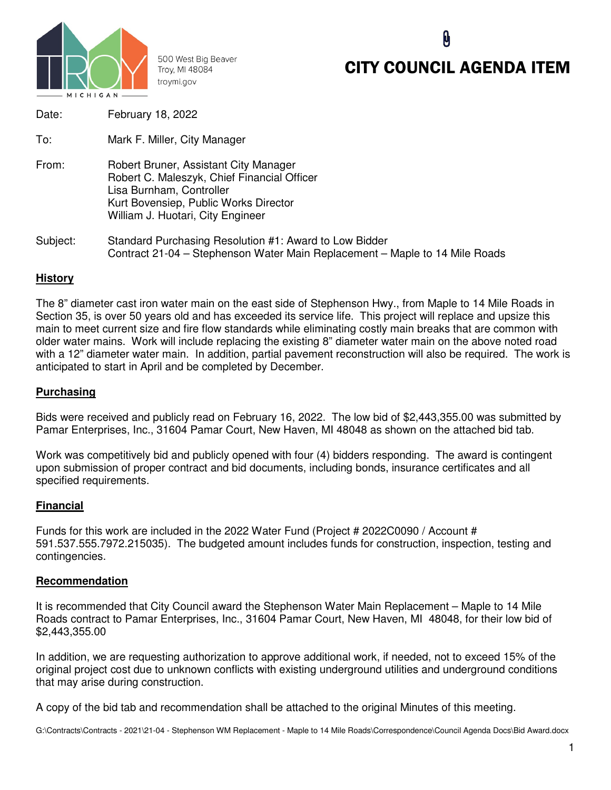

500 West Big Beaver Troy, MI 48084 troymi.gov

# CITY COUNCIL AGENDA ITEM

| Date:    | February 18, 2022                                                                                                                                                                              |
|----------|------------------------------------------------------------------------------------------------------------------------------------------------------------------------------------------------|
| To:      | Mark F. Miller, City Manager                                                                                                                                                                   |
| From:    | Robert Bruner, Assistant City Manager<br>Robert C. Maleszyk, Chief Financial Officer<br>Lisa Burnham, Controller<br>Kurt Bovensiep, Public Works Director<br>William J. Huotari, City Engineer |
| Subject: | Standard Purchasing Resolution #1: Award to Low Bidder<br>Contract 21-04 – Stephenson Water Main Replacement – Maple to 14 Mile Roads                                                          |

## **History**

The 8" diameter cast iron water main on the east side of Stephenson Hwy., from Maple to 14 Mile Roads in Section 35, is over 50 years old and has exceeded its service life. This project will replace and upsize this main to meet current size and fire flow standards while eliminating costly main breaks that are common with older water mains. Work will include replacing the existing 8" diameter water main on the above noted road with a 12" diameter water main. In addition, partial pavement reconstruction will also be required. The work is anticipated to start in April and be completed by December.

## **Purchasing**

Bids were received and publicly read on February 16, 2022. The low bid of \$2,443,355.00 was submitted by Pamar Enterprises, Inc., 31604 Pamar Court, New Haven, MI 48048 as shown on the attached bid tab.

Work was competitively bid and publicly opened with four (4) bidders responding. The award is contingent upon submission of proper contract and bid documents, including bonds, insurance certificates and all specified requirements.

#### **Financial**

Funds for this work are included in the 2022 Water Fund (Project # 2022C0090 / Account # 591.537.555.7972.215035). The budgeted amount includes funds for construction, inspection, testing and contingencies.

#### **Recommendation**

It is recommended that City Council award the Stephenson Water Main Replacement – Maple to 14 Mile Roads contract to Pamar Enterprises, Inc., 31604 Pamar Court, New Haven, MI 48048, for their low bid of \$2,443,355.00

In addition, we are requesting authorization to approve additional work, if needed, not to exceed 15% of the original project cost due to unknown conflicts with existing underground utilities and underground conditions that may arise during construction.

A copy of the bid tab and recommendation shall be attached to the original Minutes of this meeting.

G:\Contracts\Contracts - 2021\21-04 - Stephenson WM Replacement - Maple to 14 Mile Roads\Correspondence\Council Agenda Docs\Bid Award.docx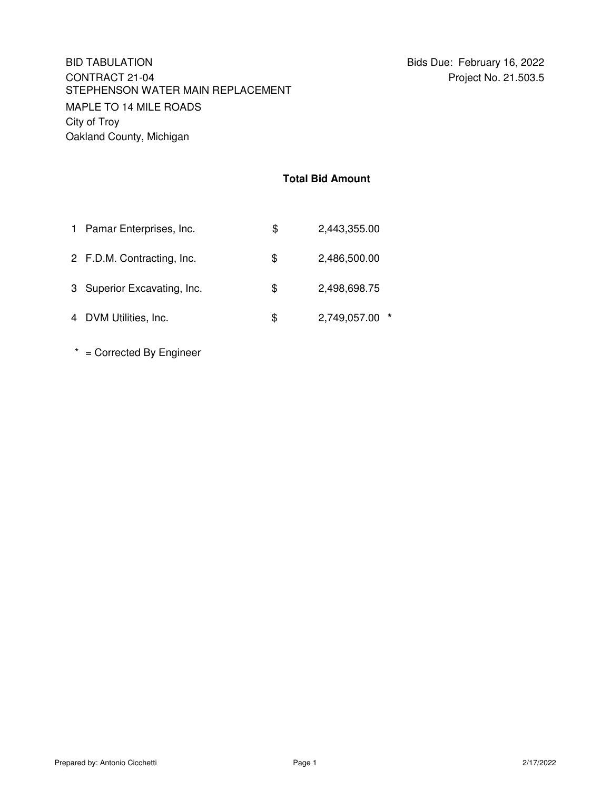### **Total Bid Amount**

| 1 Pamar Enterprises, Inc.   | \$ | 2,443,355.00   |
|-----------------------------|----|----------------|
| 2 F.D.M. Contracting, Inc.  | \$ | 2,486,500.00   |
| 3 Superior Excavating, Inc. | \$ | 2,498,698.75   |
| 4 DVM Utilities, Inc.       | S  | 2,749,057.00 * |

\* = Corrected By Engineer